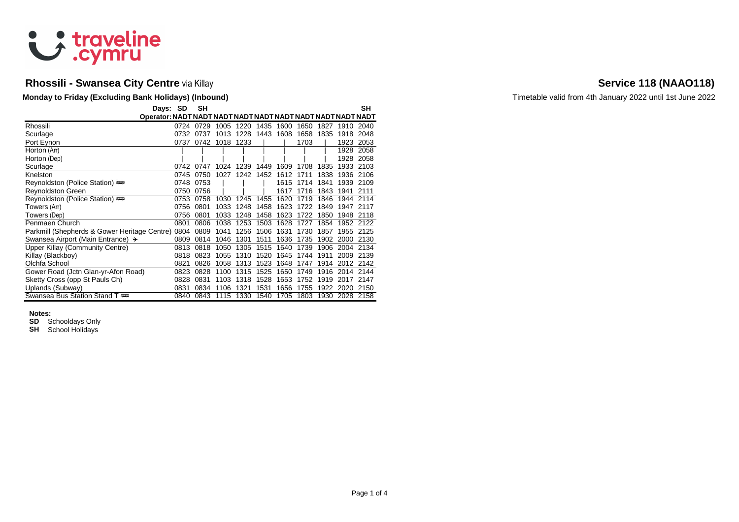

# **Rhossili - Swansea City Centre** via Killay **Service 118 (NAAO118) Service 118 (NAAO118)**

### **Monday to Friday (Excluding Bank Holidays) (Inbound)** Monday and Timetable valid from 4th January 2022 until 1st June 2022

| Days: SD                                     |      | <b>SH</b> |      |      |      |      |      |      |           | SH   |
|----------------------------------------------|------|-----------|------|------|------|------|------|------|-----------|------|
|                                              |      |           |      |      |      |      |      |      |           |      |
| Rhossili                                     | 0724 | 0729      | 1005 | 1220 | 1435 | 1600 | 1650 | 1827 | 1910      | 2040 |
| Scurlage                                     | 0732 | 0737      | 1013 | 1228 | 1443 | 1608 | 1658 | 1835 | 1918      | 2048 |
| Port Eynon                                   | 0737 | 0742      | 1018 | 1233 |      |      | 1703 |      | 1923      | 2053 |
| Horton (Arr)                                 |      |           |      |      |      |      |      |      | 1928      | 2058 |
| Horton (Dep)                                 |      |           |      |      |      |      |      |      | 1928      | 2058 |
| Scurlage                                     | 0742 | 0747      | 1024 | 1239 | 1449 | 1609 | 1708 | 1835 | 1933      | 2103 |
| Knelston                                     | 0745 | 0750      | 1027 | 1242 | 1452 | 1612 | 1711 | 1838 | 1936      | 2106 |
| Reynoldston (Police Station)                 | 0748 | 0753      |      |      |      | 1615 | 1714 | 1841 | 1939      | 2109 |
| <b>Reynoldston Green</b>                     | 0750 | 0756      |      |      |      | 1617 | 1716 | 1843 | 1941      | 2111 |
| Reynoldston (Police Station)                 | 0753 | 0758      | 1030 | 1245 | 1455 | 1620 | 1719 | 1846 | 1944      | 2114 |
| Towers (Arr)                                 | 0756 | 0801      | 1033 | 1248 | 1458 | 1623 | 1722 | 1849 | 1947      | 2117 |
| Towers (Dep)                                 | 0756 | 0801      | 1033 | 1248 | 1458 | 1623 | 1722 | 1850 | 1948      | 2118 |
| Penmaen Church                               | 0801 | 0806      | 1038 | 1253 | 1503 | 1628 | 1727 | 1854 | 1952 2122 |      |
| Parkmill (Shepherds & Gower Heritage Centre) | 0804 | 0809      | 1041 | 1256 | 1506 | 1631 | 1730 | 1857 | 1955      | 2125 |
| Swansea Airport (Main Entrance) +            | 0809 | 0814      | 1046 | 1301 | 1511 | 1636 | 1735 | 1902 | 2000      | 2130 |
| Upper Killay (Community Centre)              | 0813 | 0818      | 1050 | 1305 | 1515 | 1640 | 1739 | 1906 | 2004      | 2134 |
| Killay (Blackboy)                            | 0818 | 0823      | 1055 | 1310 | 1520 | 1645 | 1744 | 1911 | 2009      | 2139 |
| Olchfa School                                | 0821 | 0826      | 1058 | 1313 | 1523 | 1648 | 1747 | 1914 | 2012      | 2142 |
| Gower Road (Jctn Glan-yr-Afon Road)          | 0823 | 0828      | 1100 | 1315 | 1525 | 1650 | 1749 | 1916 | 2014      | 2144 |
| Sketty Cross (opp St Pauls Ch)               | 0828 | 0831      | 1103 | 1318 | 1528 | 1653 | 1752 | 1919 | 2017      | 2147 |
| Uplands (Subway)                             | 0831 | 0834      | 1106 | 1321 | 1531 | 1656 | 1755 | 1922 | 2020      | 2150 |
| Swansea Bus Station Stand T                  | 0840 | 0843      | 1115 | 1330 | 1540 | 1705 | 1803 | 1930 | 2028      | 2158 |

### **Notes:**

**SD** Schooldays Only

**SH** School Holidays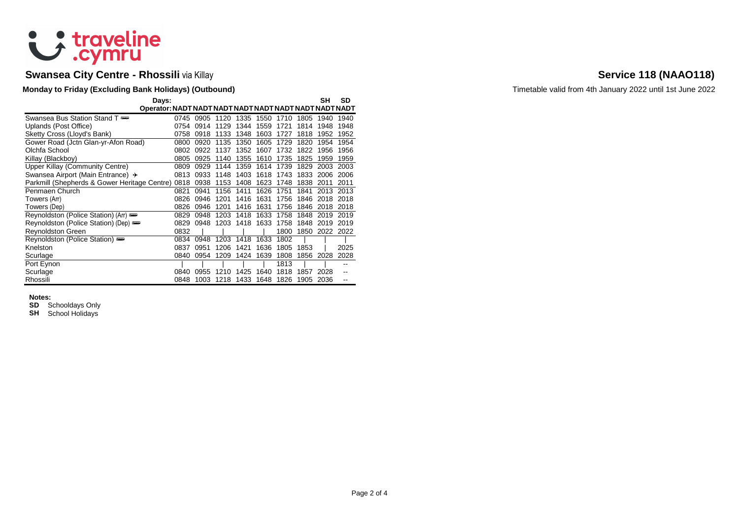

# **Swansea City Centre - Rhossili** via Killay **Service 118 (NAAO118) Service 118 (NAAO118)**

### **Monday to Friday (Excluding Bank Holidays) (Outbound)** Monday Continuition of the United States of Timetable valid from 4th January 2022 until 1st June 2022

| Days:                                        |      |      |      |      |      |      |      | SΗ   | SD   |
|----------------------------------------------|------|------|------|------|------|------|------|------|------|
|                                              |      |      |      |      |      |      |      |      |      |
| Swansea Bus Station Stand T                  | 0745 | 0905 | 1120 | 1335 | 1550 | 1710 | 1805 | 1940 | 1940 |
| Uplands (Post Office)                        | 0754 | 0914 | 1129 | 1344 | 1559 | 1721 | 1814 | 1948 | 1948 |
| Sketty Cross (Lloyd's Bank)                  | 0758 | 0918 | 1133 | 1348 | 1603 | 1727 | 1818 | 1952 | 1952 |
| Gower Road (Jctn Glan-yr-Afon Road)          | 0800 | 0920 | 1135 | 1350 | 1605 | 1729 | 1820 | 1954 | 1954 |
| Olchfa School                                | 0802 | 0922 | 1137 | 1352 | 1607 | 1732 | 1822 | 1956 | 1956 |
| Killay (Blackboy)                            | 0805 | 0925 | 1140 | 1355 | 1610 | 1735 | 1825 | 1959 | 1959 |
| <b>Upper Killay (Community Centre)</b>       | 0809 | 0929 | 1144 | 1359 | 1614 | 1739 | 1829 | 2003 | 2003 |
| Swansea Airport (Main Entrance) +            | 0813 | 0933 | 1148 | 1403 | 1618 | 1743 | 1833 | 2006 | 2006 |
| Parkmill (Shepherds & Gower Heritage Centre) | 0818 | 0938 | 1153 | 1408 | 1623 | 1748 | 1838 | 2011 | 2011 |
| Penmaen Church                               | 0821 | 0941 | 1156 | 1411 | 1626 | 1751 | 1841 | 2013 | 2013 |
| Towers (Arr)                                 | 0826 | 0946 | 1201 | 1416 | 1631 | 1756 | 1846 | 2018 | 2018 |
| Towers (Dep)                                 | 0826 | 0946 | 1201 | 1416 | 1631 | 1756 | 1846 | 2018 | 2018 |
| Reynoldston (Police Station) (Arr)           | 0829 | 0948 | 1203 | 1418 | 1633 | 1758 | 1848 | 2019 | 2019 |
| Reynoldston (Police Station) (Dep)           | 0829 | 0948 | 1203 | 1418 | 1633 | 1758 | 1848 | 2019 | 2019 |
| <b>Reynoldston Green</b>                     | 0832 |      |      |      |      | 1800 | 1850 | 2022 | 2022 |
| Reynoldston (Police Station)                 | 0834 | 0948 | 1203 | 1418 | 1633 | 1802 |      |      |      |
| Knelston                                     | 0837 | 0951 | 1206 | 1421 | 1636 | 1805 | 1853 |      | 2025 |
| Scurlage                                     | 0840 | 0954 | 1209 | 1424 | 1639 | 1808 | 1856 | 2028 | 2028 |
| Port Eynon                                   |      |      |      |      |      | 1813 |      |      | --   |
| Scurlage                                     | 0840 | 0955 | 1210 | 1425 | 1640 | 1818 | 1857 | 2028 | --   |
| Rhossili                                     | 0848 | 1003 | 1218 | 1433 | 1648 | 1826 | 1905 | 2036 |      |

### **Notes:**

**SD** Schooldays Only

**SH** School Holidays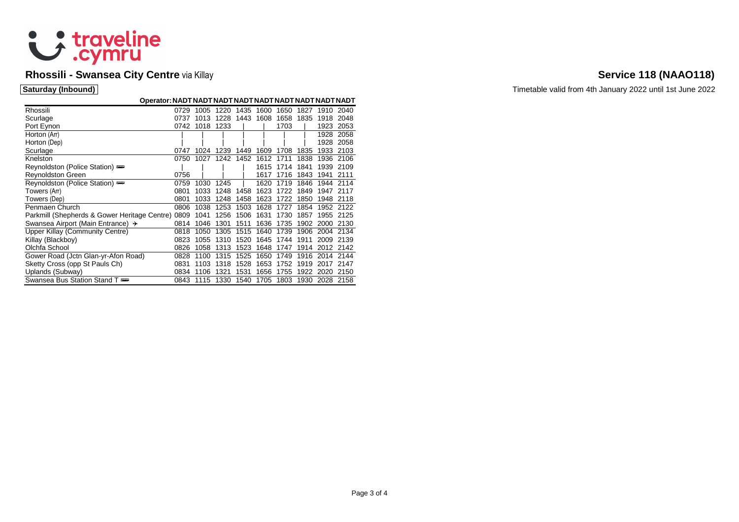

# **Rhossili - Swansea City Centre** via Killay **Service 118 (NAAO118) Service 118 (NAAO118)**

| Rhossili                                          | 0729 | 1005 | 1220 | 1435 | 1600 | 1650 | 1827 | 1910 2040 |           |
|---------------------------------------------------|------|------|------|------|------|------|------|-----------|-----------|
| Scurlage                                          | 0737 | 1013 | 1228 | 1443 | 1608 | 1658 | 1835 | 1918      | 2048      |
| Port Eynon                                        | 0742 | 1018 | 1233 |      |      | 1703 |      | 1923      | 2053      |
| Horton (Arr)                                      |      |      |      |      |      |      |      | 1928      | 2058      |
| Horton (Dep)                                      |      |      |      |      |      |      |      | 1928      | 2058      |
| Scurlage                                          | 0747 | 1024 | 1239 | 1449 | 1609 | 1708 | 1835 | 1933      | 2103      |
| Knelston                                          | 0750 | 1027 | 1242 | 1452 | 1612 | 1711 | 1838 | 1936      | 2106      |
| Reynoldston (Police Station)                      |      |      |      |      | 1615 | 1714 | 1841 | 1939      | 2109      |
| <b>Reynoldston Green</b>                          | 0756 |      |      |      | 1617 | 1716 | 1843 | 1941      | 2111      |
| Reynoldston (Police Station)                      | 0759 | 1030 | 1245 |      | 1620 | 1719 | 1846 | 1944      | 2114      |
| Towers (Arr)                                      | 0801 | 1033 | 1248 | 1458 | 1623 | 1722 | 1849 | 1947      | 2117      |
| Towers (Dep)                                      | 0801 | 1033 | 1248 | 1458 | 1623 | 1722 | 1850 | 1948      | 2118      |
| Penmaen Church                                    | 0806 | 1038 | 1253 | 1503 | 1628 | 1727 | 1854 |           | 1952 2122 |
| Parkmill (Shepherds & Gower Heritage Centre) 0809 |      | 1041 | 1256 | 1506 | 1631 | 1730 | 1857 | 1955      | 2125      |
| Swansea Airport (Main Entrance) +                 | 0814 | 1046 | 1301 | 1511 | 1636 | 1735 | 1902 | 2000      | 2130      |
| Upper Killay (Community Centre)                   | 0818 | 1050 | 1305 | 1515 | 1640 | 1739 | 1906 | 2004      | 2134      |
| Killay (Blackboy)                                 | 0823 | 1055 | 1310 | 1520 | 1645 | 1744 | 1911 | 2009      | 2139      |
| Olchfa School                                     | 0826 | 1058 | 1313 | 1523 | 1648 | 1747 | 1914 | 2012      | 2142      |
| Gower Road (Jctn Glan-yr-Afon Road)               | 0828 | 1100 | 1315 | 1525 | 1650 | 1749 | 1916 | 2014      | 2144      |
| Sketty Cross (opp St Pauls Ch)                    | 0831 | 1103 | 1318 | 1528 | 1653 | 1752 | 1919 | 2017      | 2147      |
| Uplands (Subway)                                  | 0834 | 1106 | 1321 | 1531 | 1656 | 1755 | 1922 | 2020      | 2150      |
| Swansea Bus Station Stand T                       | 0843 | 1115 | 1330 | 1540 | 1705 | 1803 | 1930 | 2028 2158 |           |

**Saturday (Inbound)** Timetable valid from 4th January 2022 until 1st June 2022